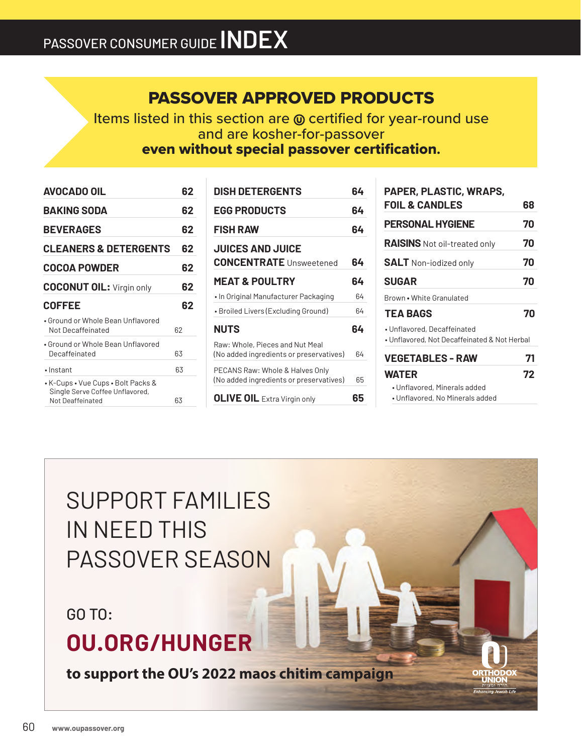## PASSOVER APPROVED PRODUCTS

Items listed in this section are @ certified for year-round use and are kosher-for-passover even without special passover certification**.**

| <b>AVOCADO OIL</b>                                                                        | 62 |
|-------------------------------------------------------------------------------------------|----|
| <b>BAKING SODA</b>                                                                        | 62 |
| <b>BEVERAGES</b>                                                                          | 62 |
| <b>CLEANERS &amp; DETERGENTS</b>                                                          | 62 |
| <b>COCOA POWDER</b>                                                                       | 62 |
| <b>COCONUT OIL: Virgin only</b>                                                           | 62 |
| <b>COFFEE</b>                                                                             | 62 |
| • Ground or Whole Bean Unflavored<br>Not Decaffeinated                                    | 62 |
| • Ground or Whole Bean Unflavored<br>Decaffeinated                                        | 63 |
| $\cdot$ Instant                                                                           | 63 |
| • K-Cups • Vue Cups • Bolt Packs &<br>Single Serve Coffee Unflavored,<br>Not Deaffeinated | 63 |

| <b>DISH DETERGENTS</b>                                                     | 64 |
|----------------------------------------------------------------------------|----|
| <b>EGG PRODUCTS</b>                                                        | 64 |
| <b>FISH RAW</b>                                                            | 64 |
| <b>JUICES AND JUICE</b><br><b>CONCENTRATE</b> Unsweetened                  | 64 |
| <b>MEAT &amp; POULTRY</b>                                                  | 64 |
| • In Original Manufacturer Packaging                                       | 64 |
| • Broiled Livers (Excluding Ground)                                        | 64 |
| <b>NUTS</b>                                                                | 64 |
| Raw: Whole, Pieces and Nut Meal<br>(No added ingredients or preservatives) | 64 |
| PECANS Raw: Whole & Halves Only<br>(No added ingredients or preservatives) | 65 |
| <b>OLIVE OIL</b> Extra Virgin only                                         | 65 |

| PAPER, PLASTIC, WRAPS,                                                      |    |
|-----------------------------------------------------------------------------|----|
| <b>FOIL &amp; CANDLES</b>                                                   | 68 |
| <b>PERSONAL HYGIENE</b>                                                     | 70 |
| <b>RAISINS</b> Not oil-treated only                                         | 70 |
| <b>SALT</b> Non-iodized only                                                | 70 |
| <b>SUGAR</b>                                                                | 70 |
| Brown • White Granulated                                                    |    |
| <b>TEA BAGS</b>                                                             | 70 |
| • Unflavored, Decaffeinated<br>• Unflavored, Not Decaffeinated & Not Herbal |    |
| <b>VEGETABLES - RAW</b>                                                     | 71 |
| <b>WATER</b>                                                                | 72 |
| • Unflavored, Minerals added                                                |    |

• Unflavored, No Minerals added

SUPPORT FAMILIES IN NEED THIS PASSOVER SEASON

GO TO:

## **OU.ORG/HUNGER**

**to support the OU's 2022 maos chitim campaign**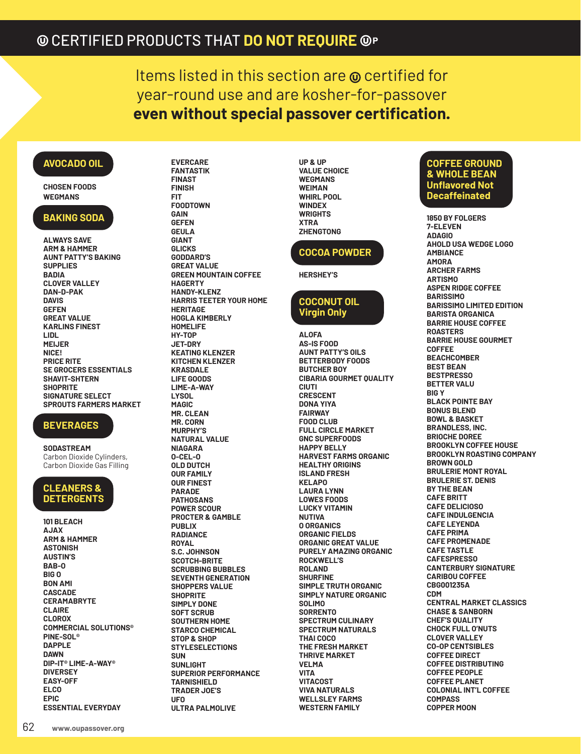Items listed in this section are @ certified for year-round use and are kosher-for-passover **even without special passover certification.**

#### **AVOCADO OIL**

**CHOSEN FOODS WEGMANS**

#### **BAKING SODA**

**ALWAYS SAVE ARM & HAMMER AUNT PATTY'S BAKING SUPPLIES BADIA CLOVER VALLEY DAN-D-PAK DAVIS GEFEN GREAT VALUE KARLINS FINEST LIDL MEIJER NICE! PRICE RITE SE GROCERS ESSENTIALS SHAVIT-SHTERN SHOPRITE SIGNATURE SELECT SPROUTS FARMERS MARKET**

#### **BEVERAGES**

**SODASTREAM** Carbon Dioxide Cylinders, Carbon Dioxide Gas Filling

#### **CLEANERS & DETERGENTS**

**101 BLEACH AJAX ARM & HAMMER ASTONISH AUSTIN'S BAB-O BIG O BON AMI CASCADE CERAMABRYTE CLAIRE CLOROX COMMERCIAL SOLUTIONS® PINE-SOL® DAPPLE DAWN DIP-IT® LIME-A-WAY® DIVERSEY EASY-OFF ELCO EPIC ESSENTIAL EVERYDAY**

**EVERCARE FANTASTIK FINAST FINISH FIT FOODTOWN GAIN GEFEN GEULA GIANT GLICKS GODDARD'S GREAT VALUE GREEN MOUNTAIN COFFEE HAGERTY HANDY-KLENZ HARRIS TEETER YOUR HOME HERITAGE HOGLA KIMBERLY HOMELIFE HY-TOP JET-DRY KEATING KLENZER KITCHEN KLENZER KRASDALE LIFE GOODS LIME-A-WAY LYSOL MAGIC MR. CLEAN MR. CORN MURPHY'S NATURAL VALUE NIAGARA O-CEL-O OLD DUTCH OUR FAMILY OUR FINEST PARADE PATHOSANS POWER SCOUR PROCTER & GAMBLE PUBLIX RADIANCE ROYAL S.C. JOHNSON SCOTCH-BRITE SCRUBBING BUBBLES SEVENTH GENERATION SHOPPERS VALUE SHOPRITE SIMPLY DONE SOFT SCRUB SOUTHERN HOME STARCO CHEMICAL STOP & SHOP STYLESELECTIONS SUN SUNLIGHT SUPERIOR PERFORMANCE TARNISHIELD TRADER JOE'S UFO ULTRA PALMOLIVE**

**UP & UP VALUE CHOICE WEGMANS WEIMAN WHIRL POOL WINDEX WRIGHTS XTRA ZHENGTONG**

#### **COCOA POWDER**

**HERSHEY'S**

#### **COCONUT OIL Virgin Only**

**ALOFA AS-IS FOOD AUNT PATTY'S OILS BETTERBODY FOODS BUTCHER BOY CIBARIA GOURMET QUALITY CIUTI CRESCENT DONA YIYA FAIRWAY FOOD CLUB FULL CIRCLE MARKET GNC SUPERFOODS HAPPY BELLY HARVEST FARMS ORGANIC HEALTHY ORIGINS ISLAND FRESH KELAPO LAURA LYNN LOWES FOODS LUCKY VITAMIN NUTIVA O ORGANICS ORGANIC FIELDS ORGANIC GREAT VALUE PURELY AMAZING ORGANIC ROCKWELL'S ROLAND SHURFINE SIMPLE TRUTH ORGANIC SIMPLY NATURE ORGANIC SOLIMO SORRENTO SPECTRUM CULINARY SPECTRUM NATURALS THAI COCO THE FRESH MARKET THRIVE MARKET VELMA VITA VITACOST VIVA NATURALS WELLSLEY FARMS WESTERN FAMILY**

#### **COFFEE GROUND & WHOLE BEAN Unflavored Not Decaffeinated**

**1850 BY FOLGERS 7-ELEVEN ADAGIO AHOLD USA WEDGE LOGO AMBIANCE AMORA ARCHER FARMS ARTISMO ASPEN RIDGE COFFEE BARISSIMO BARISSIMO LIMITED EDITION BARISTA ORGANICA BARRIE HOUSE COFFEE ROASTERS BARRIE HOUSE GOURMET COFFEE BEACHCOMBER BEST BEAN BESTPRESSO BETTER VALU BIG Y BLACK POINTE BAY BONUS BLEND BOWL & BASKET BRANDLESS, INC. BRIOCHE DOREE BROOKLYN COFFEE HOUSE BROOKLYN ROASTING COMPANY BROWN GOLD BRULERIE MONT ROYAL BRULERIE ST. DENIS BY THE BEAN CAFE BRITT CAFE DELICIOSO CAFE INDULGENCIA CAFE LEYENDA CAFE PRIMA CAFE PROMENADE CAFE TASTLE CAFESPRESSO CANTERBURY SIGNATURE CARIBOU COFFEE CBG001235A CDM CENTRAL MARKET CLASSICS CHASE & SANBORN CHEF'S QUALITY CHOCK FULL O'NUTS CLOVER VALLEY CO-OP CENTSIBLES COFFEE DIRECT COFFEE DISTRIBUTING COFFEE PEOPLE COFFEE PLANET COLONIAL INT'L COFFEE COMPASS COPPER MOON**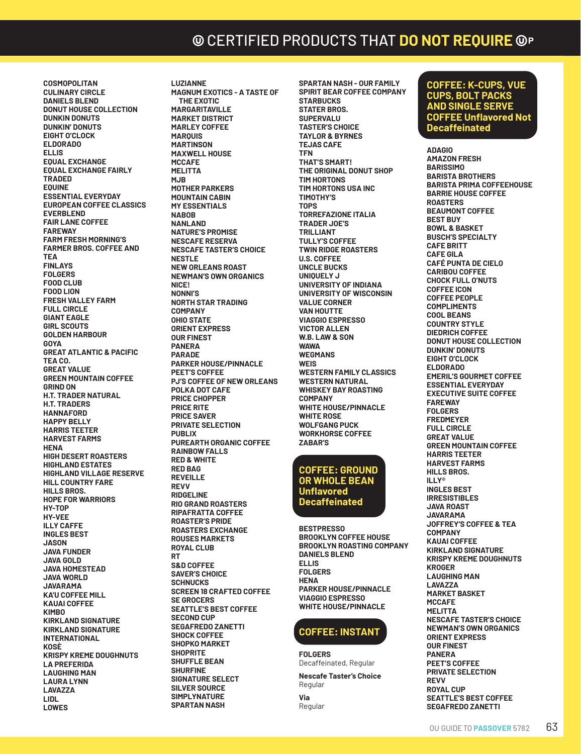**COSMOPOLITAN CULINARY CIRCLE DANIELS BLEND DONUT HOUSE COLLECTION DUNKIN DONUTS DUNKIN' DONUTS EIGHT O'CLOCK ELDORADO ELLIS EQUAL EXCHANGE EQUAL EXCHANGE FAIRLY TRADED EQUINE ESSENTIAL EVERYDAY EUROPEAN COFFEE CLASSICS EVERBLEND FAIR LANE COFFEE FAREWAY FARM FRESH MORNING'S FARMER BROS. COFFEE AND TEA FINLAYS FOLGERS FOOD CLUB FOOD LION FRESH VALLEY FARM FULL CIRCLE GIANT EAGLE GIRL SCOUTS GOLDEN HARBOUR GOYA GREAT ATLANTIC & PACIFIC TEA CO. GREAT VALUE GREEN MOUNTAIN COFFEE GRIND ON H.T. TRADER NATURAL H.T. TRADERS HANNAFORD HAPPY BELLY HARRIS TEETER HARVEST FARMS HENA HIGH DESERT ROASTERS HIGHLAND ESTATES HIGHLAND VILLAGE RESERVE HILL COUNTRY FARE HILLS BROS. HOPE FOR WARRIORS HY-TOP HY-VEE ILLY CAFFE INGLES BEST JASON JAVA FUNDER JAVA GOLD JAVA HOMESTEAD JAVA WORLD JAVARAMA KA'U COFFEE MILL KAUAI COFFEE KIMBO KIRKLAND SIGNATURE KIRKLAND SIGNATURE INTERNATIONAL KOSÈ KRISPY KREME DOUGHNUTS LA PREFERIDA LAUGHING MAN LAURA LYNN LAVAZZA LIDL LOWES**

**LUZIANNE MAGNUM EXOTICS - A TASTE OF THE EXOTIC MARGARITAVILLE MARKET DISTRICT MARLEY COFFEE MARQUIS MARTINSON MAXWELL HOUSE MCCAFE MELITTA MJB MOTHER PARKERS MOUNTAIN CABIN MY ESSENTIALS NABOB NANLAND NATURE'S PROMISE NESCAFE RESERVA NESCAFE TASTER'S CHOICE NESTLE NEW ORLEANS ROAST NEWMAN'S OWN ORGANICS NICE! NONNI'S NORTH STAR TRADING COMPANY OHIO STATE ORIENT EXPRESS OUR FINEST PANERA PARADE PARKER HOUSE/PINNACLE PEET'S COFFEE PJ'S COFFEE OF NEW ORLEANS POLKA DOT CAFE PRICE CHOPPER PRICE RITE PRICE SAVER PRIVATE SELECTION PUBLIX PUREARTH ORGANIC COFFEE RAINBOW FALLS RED & WHITE RED BAG REVEILLE REVV RIDGELINE RIO GRAND ROASTERS RIPAFRATTA COFFEE ROASTER'S PRIDE ROASTERS EXCHANGE ROUSES MARKETS ROYAL CLUB RT S&D COFFEE SAVER'S CHOICE SCHNUCKS SCREEN 18 CRAFTED COFFEE SE GROCERS SEATTLE'S BEST COFFEE SECOND CUP SEGAFREDO ZANETTI SHOCK COFFEE SHOPKO MARKET SHOPRITE SHUFFLE BEAN SHURFINE SIGNATURE SELECT SILVER SOURCE SIMPLYNATURE**

**SPARTAN NASH**

**SPARTAN NASH - OUR FAMILY SPIRIT BEAR COFFEE COMPANY STARBUCKS STATER BROS. SUPERVALU TASTER'S CHOICE TAYLOR & BYRNES TEJAS CAFE TFN THAT'S SMART! THE ORIGINAL DONUT SHOP TIM HORTONS TIM HORTONS USA INC TIMOTHY'S TOPS TORREFAZIONE ITALIA TRADER JOE'S TRILLIANT TULLY'S COFFEE TWIN RIDGE ROASTERS U.S. COFFEE UNCLE BUCKS UNIQUELY J UNIVERSITY OF INDIANA UNIVERSITY OF WISCONSIN VALUE CORNER VAN HOUTTE VIAGGIO ESPRESSO VICTOR ALLEN W.B. LAW & SON WAWA WEGMANS WEIS WESTERN FAMILY CLASSICS WESTERN NATURAL WHISKEY BAY ROASTING COMPANY WHITE HOUSE/PINNACLE WHITE ROSE WOLFGANG PUCK WORKHORSE COFFEE ZABAR'S**

#### **COFFEE: GROUND OR WHOLE BEAN Unflavored Decaffeinated**

**BESTPRESSO BROOKLYN COFFEE HOUSE BROOKLYN ROASTING COMPANY DANIELS BLEND ELLIS FOLGERS HENA PARKER HOUSE/PINNACLE VIAGGIO ESPRESSO WHITE HOUSE/PINNACLE**

#### **COFFEE: INSTANT**

**FOLGERS** Decaffeinated, Regular

**Nescafe Taster's Choice** Regular **Via**

### Regular

**COFFEE: K-CUPS, VUE CUPS, BOLT PACKS AND SINGLE SERVE COFFEE Unflavored Not Decaffeinated**

**ADAGIO**

**AMAZON FRESH BARISSIMO BARISTA BROTHERS BARISTA PRIMA COFFEEHOUSE BARRIE HOUSE COFFEE ROASTERS BEAUMONT COFFEE BEST BUY BOWL & BASKET BUSCH'S SPECIALTY CAFE BRITT CAFE GILA CAFÉ PUNTA DE CIELO CARIBOU COFFEE CHOCK FULL O'NUTS COFFEE ICON COFFEE PEOPLE COMPLIMENTS COOL BEANS COUNTRY STYLE DIEDRICH COFFEE DONUT HOUSE COLLECTION DUNKIN' DONUTS EIGHT O'CLOCK ELDORADO EMERIL'S GOURMET COFFEE ESSENTIAL EVERYDAY EXECUTIVE SUITE COFFEE FAREWAY FOLGERS FREDMEYER FULL CIRCLE GREAT VALUE GREEN MOUNTAIN COFFEE HARRIS TEETER HARVEST FARMS HILLS BROS. ILLY® INGLES BEST IRRESISTIBLES JAVA ROAST JAVARAMA JOFFREY'S COFFEE & TEA COMPANY KAUAI COFFEE KIRKLAND SIGNATURE KRISPY KREME DOUGHNUTS KROGER LAUGHING MAN LAVAZZA MARKET BASKET MCCAFE MELITTA NESCAFE TASTER'S CHOICE NEWMAN'S OWN ORGANICS ORIENT EXPRESS OUR FINEST PANERA PEET'S COFFEE PRIVATE SELECTION REVV ROYAL CUP SEATTLE'S BEST COFFEE SEGAFREDO ZANETTI**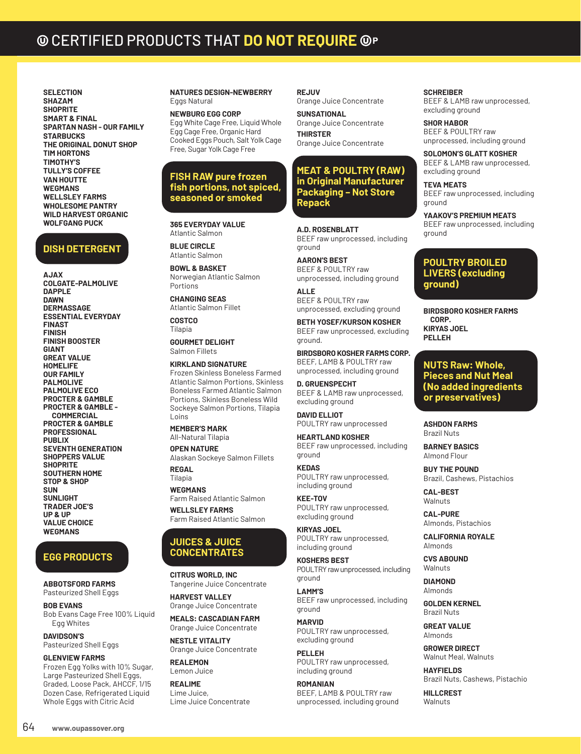**SELECTION SHAZAM SHOPRITE SMART & FINAL SPARTAN NASH - OUR FAMILY STARBUCKS THE ORIGINAL DONUT SHOP TIM HORTONS TIMOTHY'S TULLY'S COFFEE VAN HOUTTE WEGMANS WELLSLEY FARMS WHOLESOME PANTRY WILD HARVEST ORGANIC WOLFGANG PUCK**

#### **DISH DETERGENT**

**AJAX COLGATE-PALMOLIVE DAPPLE DAWN DERMASSAGE ESSENTIAL EVERYDAY FINAST FINISH FINISH BOOSTER GIANT GREAT VALUE HOMELIFE OUR FAMILY PALMOLIVE PALMOLIVE ECO PROCTER & GAMBLE PROCTER & GAMBLE - COMMERCIAL PROCTER & GAMBLE PROFESSIONAL PUBLIX SEVENTH GENERATION SHOPPERS VALUE SHOPRITE SOUTHERN HOME STOP & SHOP SUN SUNLIGHT TRADER JOE'S UP & UP VALUE CHOICE WEGMANS**

#### **EGG PRODUCTS**

**ABBOTSFORD FARMS** Pasteurized Shell Eggs

**BOB EVANS** Bob Evans Cage Free 100% Liquid Egg Whites

**DAVIDSON'S** Pasteurized Shell Eggs

#### **GLENVIEW FARMS**

Frozen Egg Yolks with 10% Sugar, Large Pasteurized Shell Eggs, Graded, Loose Pack, AHCCF, 1/15 Dozen Case, Refrigerated Liquid Whole Eggs with Citric Acid

**NATURES DESIGN-NEWBERRY** Eggs Natural

**NEWBURG EGG CORP** Egg White Cage Free, Liquid Whole Egg Cage Free, Organic Hard Cooked Eggs Pouch, Salt Yolk Cage Free, Sugar Yolk Cage Free

#### **FISH RAW pure frozen fish portions, not spiced, seasoned or smoked**

**365 EVERYDAY VALUE** Atlantic Salmon

**BLUE CIRCLE** Atlantic Salmon

**BOWL & BASKET** Norwegian Atlantic Salmon Portions

**CHANGING SEAS** Atlantic Salmon Fillet

**COSTCO** Tilapia

**GOURMET DELIGHT** Salmon Fillets

#### **KIRKLAND SIGNATURE**

Frozen Skinless Boneless Farmed Atlantic Salmon Portions, Skinless Boneless Farmed Atlantic Salmon Portions, Skinless Boneless Wild Sockeye Salmon Portions, Tilapia Loins

**MEMBER'S MARK** All-Natural Tilapia

**OPEN NATURE** Alaskan Sockeye Salmon Fillets **REGAL**

Tilapia **WEGMANS**

Farm Raised Atlantic Salmon **WELLSLEY FARMS** Farm Raised Atlantic Salmon

#### **JUICES & JUICE CONCENTRATES**

**CITRUS WORLD, INC** Tangerine Juice Concentrate

**HARVEST VALLEY** Orange Juice Concentrate

**MEALS: CASCADIAN FARM** Orange Juice Concentrate

**NESTLE VITALITY** Orange Juice Concentrate

**REALEMON** Lemon Juice

**REALIME** Lime Juice, Lime Juice Concentrate **REJUV** Orange Juice Concentrate

**SUNSATIONAL** Orange Juice Concentrate **THIRSTER** Orange Juice Concentrate

#### **MEAT & POULTRY (RAW) in Original Manufacturer Packaging – Not Store Repack**

**A.D. ROSENBLATT** BEEF raw unprocessed, including ground

**AARON'S BEST** BEEF & POULTRY raw unprocessed, including ground

**ALLE** BEEF & POULTRY raw unprocessed, excluding ground

**BETH YOSEF/KURSON KOSHER** BEEF raw unprocessed, excluding ground.

**BIRDSBORO KOSHER FARMS CORP.** BEEF, LAMB & POULTRY raw unprocessed, including ground

**D. GRUENSPECHT** BEEF & LAMB raw unprocessed, excluding ground

**DAVID ELLIOT** POULTRY raw unprocessed

**HEARTLAND KOSHER** BEEF raw unprocessed, including ground

**KEDAS** POULTRY raw unprocessed, including ground

**KEE-TOV** POULTRY raw unprocessed, excluding ground

**KIRYAS JOEL** POULTRY raw unprocessed, including ground

**KOSHERS BEST** POULTRY raw unprocessed, including ground

**LAMM'S** BEEF raw unprocessed, including ground

**MARVID** POULTRY raw unprocessed, excluding ground

**PELLEH** POULTRY raw unprocessed, including ground

**ROMANIAN** BEEF, LAMB & POULTRY raw unprocessed, including ground

**SCHREIBER** BEEF & LAMB raw unprocessed, excluding ground

**SHOR HABOR** BEEF & POULTRY raw unprocessed, including ground

**SOLOMON'S GLATT KOSHER** BEEF & LAMB raw unprocessed, excluding ground

**TEVA MEATS** BEEF raw unprocessed, including ground

**YAAKOV'S PREMIUM MEATS** BEEF raw unprocessed, including ground

#### **POULTRY BROILED LIVERS (excluding ground)**

**BIRDSBORO KOSHER FARMS CORP. KIRYAS JOEL PELLEH**

**NUTS Raw: Whole, Pieces and Nut Meal (No added ingredients or preservatives)**

**ASHDON FARMS** Brazil Nuts

**BARNEY BASICS** Almond Flour

**BUY THE POUND** Brazil, Cashews, Pistachios

**CAL-BEST Walnuts** 

**CAL-PURE** Almonds, Pistachios

**CALIFORNIA ROYALE** Almonds

**CVS ABOUND Walnuts** 

**DIAMOND** Almonds

**GOLDEN KERNEL** Brazil Nuts

**GREAT VALUE** Almonds

**GROWER DIRECT** Walnut Meal, Walnuts

**HAYFIELDS** Brazil Nuts, Cashews, Pistachio

**HILLCREST Walnuts**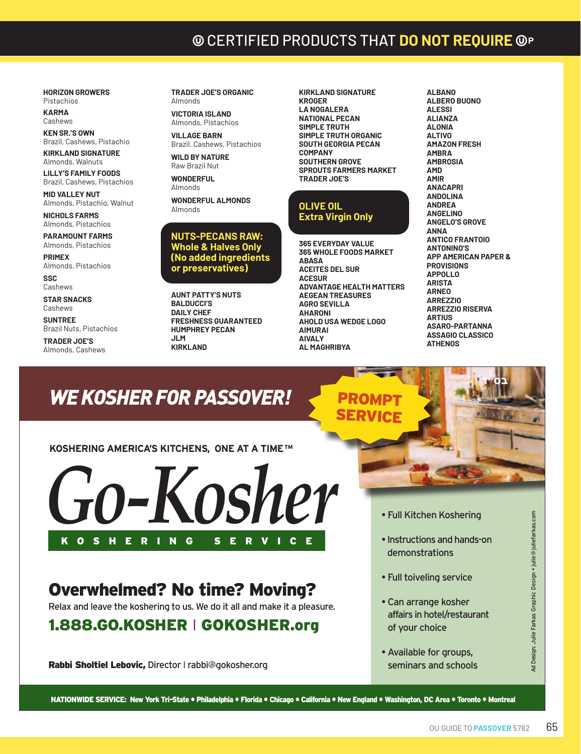#### **HORIZON GROWERS** Pistachios

**KARMA** Cashews

**KEN SR.'S OWN** Brazil, Cashews, Pistachio

**KIRKLAND SIGNATURE** Almonds, Walnuts

**LILLY'S FAMILY FOODS** Brazil, Cashews, Pistachios

**MID VALLEY NUT** Almonds, Pistachio, Walnut

**NICHOLS FARMS** Almonds, Pistachios

**PARAMOUNT FARMS** Almonds, Pistachios

**PRIMEX** Almonds, Pistachios

**SSC** Cashews

**STAR SNACKS Cashews** 

**SUNTREE** Brazil Nuts, Pistachios

**TRADER JOE'S** Almonds, Cashews **TRADER JOE'S ORGANIC** Almonds

**VICTORIA ISLAND** Almonds, Pistachios

**VILLAGE BARN** Brazil, Cashews, Pistachios

**WILD BY NATURE** Raw Brazil Nut

**WONDERFUL** Almonds

**WONDERFUL ALMONDS** Almonds

**NUTS-PECANS RAW: Whole & Halves Only (No added ingredients or preservatives)**

**AUNT PATTY'S NUTS BALDUCCI'S DAILY CHEF FRESHNESS GUARANTEED HUMPHREY PECAN JLM KIRKLAND**

**KIRKLAND SIGNATURE KROGER LA NOGALERA NATIONAL PECAN SIMPLE TRUTH SIMPLE TRUTH ORGANIC SOUTH GEORGIA PECAN COMPANY SOUTHERN GROVE SPROUTS FARMERS MARKET TRADER JOE'S**

#### **OLIVE OIL Extra Virgin Only**

**365 EVERYDAY VALUE 365 WHOLE FOODS MARKET ABASA ACEITES DEL SUR ACESUR ADVANTAGE HEALTH MATTERS AEGEAN TREASURES AGRO SEVILLA AHARONI AHOLD USA WEDGE LOGO AIMURAI AIVALY AL MAGHRIBYA**

**ALBANO ALBERO BUONO ALESSI ALIANZA ALONIA ALTIVO AMAZON FRESH AMBRA AMBROSIA AMD AMIR ANACAPRI ANDOLINA ANDREA ANGELINO ANGELO'S GROVE ANNA ANTICO FRANTOIO ANTONINO'S APP AMERICAN PAPER & PROVISIONS APPOLLO ARISTA ARNEO ARREZZIO ARREZZIO RISERVA ARTIUS ASARO-PARTANNA ASSAGIO CLASSICO ATHENOS**



Rabbi Sholtiel Lebovic, Director I rabbi@gokosher.org

• Available for groups, seminars and schools

NATIONWIDE SERVICE: New York Tri-State • Philadelphia • Florida • Chicago • California • New England • Washington, DC Area • Toronto • Montreal

 $\overline{A}$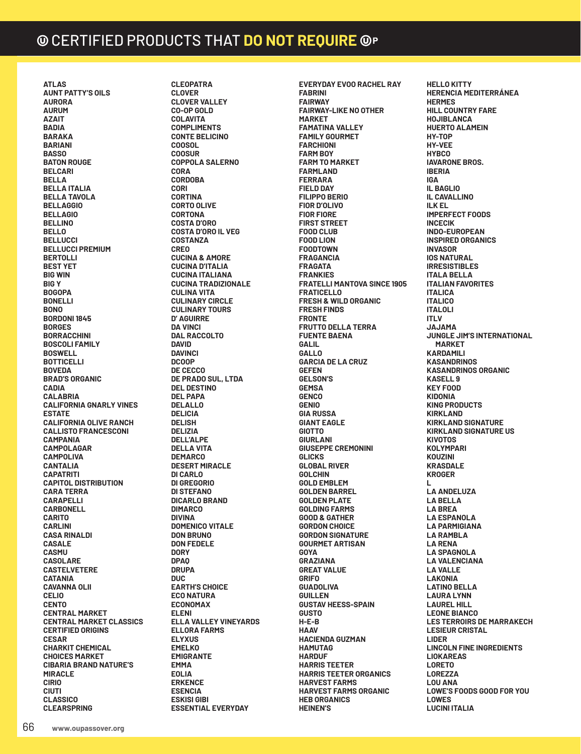**ATLAS AUNT PATTY'S OILS AURORA AURUM AZAIT BADIA BARAKA BARIANI BASSO BATON ROUGE BELCARI BELLA BELLA ITALIA BELLA TAVOLA BELLAGGIO BELLAGIO BELLINO BELLO BELLUCCI BELLUCCI PREMIUM BERTOLLI BEST YET BIG WIN BIGY BOGOPA BONELLI BONO BORDONI 1845 BORGES BORRACCHINI BOSCOLI FAMILY BOSWELL BOTTICELLI ROVEDA BRAD'S ORGANIC** CADIA **CALABRIA CALIFORNIA GNARLY VINES ESTATE CALIFORNIA OLIVE RANCH CALLISTO FRANCESCONI CAMPANIA** CAMPOL AGAR **CAMPOLIVA CANTALIA CAPATRITI CAPITOL DISTRIBUTION CARA TERRA CARAPELLI CARBONELL CARITO CARLINI CASA RINALDI CASALE CASMU CASOLARE CASTELVETERE CATANIA CAVANNA OLII** CELIO **CENTO CENTRAL MARKET CENTRAL MARKET CLASSICS CERTIFIED ORIGINS CESAR CHARKIT CHEMICAL CHOICES MARKET CIBARIA BRAND NATURE'S MIRACLE CIRIO CIUTI CLASSICO CLEARSPRING** 

**CLEOPATRA CLOVER CLOVER VALLEY CO-OP GOLD** COL AVITA **COMPLIMENTS CONTE BELICINO COOSOL COOSUR COPPOLA SALERNO** CORA **CORDOBA CORI** CORTINA **CORTO OLIVE CORTONA COSTA D'ORO COSTA D'ORO IL VEG COSTANZA CREO CUCINA & AMORE CUCINA D'ITALIA CUCINA ITALIANA CUCINA TRADIZIONALE CULINA VITA CULINARY CIRCLE CULINARY TOURS D' AGUIRRE DA VINCI DAL RACCOLTO DAVID DAVINCI DCOOP** DE CECCO **DE PRADO SUL, LTDA DEL DESTINO DEL PAPA DELALLO DELICIA DELISH DELIZIA DELL'ALPE DELLA VITA DEMARCO DESERT MIRACLE DI CARLO DI GREGORIO DI STEFANO DICARLO BRAND DIMARCO DIVINA DOMENICO VITALE DON BRUNO DON FEDELE DORY** DPA<sub>0</sub> **DRUPA DUC EARTH'S CHOICE ECO NATURA ECONOMAX ELENI ELLA VALLEY VINEYARDS ELLORA FARMS ELYXUS EMELKO EMIGRANTE EMMA EOLIA ERKENCE ESENCIA FSKISLGIRL ESSENTIAL EVERYDAY** 

**EVERYDAY EVOO RACHEL RAY FABRINI FAIRWAY FAIRWAY-LIKE NO OTHER MARKET FAMATINA VALLEY FAMILY GOURMET FARCHIONI FARM BOY FARM TO MARKET FARMLAND FERRARA FIELD DAY FILIPPO BERIO FIOR D'OLIVO FIOR FIORE FIRST STREET FOOD CLUB FOOD LION FOODTOWN FRAGANCIA FRAGATA FRANKIES FRATELLI MANTOVA SINCE 1905 FRATICELLO FRESH & WILD ORGANIC FRESH FINDS FRONTE FRUTTO DELLA TERRA FUENTE BAENA GALIL GALLO GARCIA DE LA CRUZ GEFEN GELSON'S GEMSA GENCO GENIO GIA RUSSA GIANT EAGLE GIOTTO GIURLANI GIUSEPPE CREMONINI GLICKS GLOBAL RIVER GOLCHIN GOLD EMBLEM GOLDEN BARREL GOLDEN PLATE GOLDING FARMS GOOD & GATHER GORDON CHOICE GORDON SIGNATURE GOURMET ARTISAN GOYA GRAZIANA GREAT VALUE GRIFO GUADOLIVA GUILLEN GUSTAV HEESS-SPAIN GUSTO**  $H-F-R$ **HAAV HACIENDA GUZMAN HAMUTAG HARDUF HARRIS TEETER HARRIS TEETER ORGANICS HARVEST FARMS HARVEST FARMS ORGANIC HEB ORGANICS HEINEN'S** 

**HELLO KITTY HERENCIA MEDITERRÁNEA HERMES HILL COUNTRY FARE** HO. IIRI ANCA **HUERTO ALAMEIN** HY-TOP **HY-VEE HYBCO IAVARONE BROS. IBERIA IGA IL BAGLIO IL CAVALLINO ILK EL IMPERFECT FOODS INCECIK INDO-EUROPEAN INSPIRED ORGANICS INVASOR IOS NATURAL IRRESISTIBLES ITALA BELLA ITALIAN FAVORITES ITALICA ITALICO ITALOLI ITLV** ΔΜΔΙ.ΔΙ. JUNGLE JIM'S INTERNATIONAL **MARKET KARDAMILI KASANDRINOS KASANDRINOS ORGANIC KASELL 9 KEY FOOD KIDONIA KING PRODUCTS KIRKLAND KIRKLAND SIGNATURE KIRKLAND SIGNATURE US KIVOTOS KOL VMPARI KOUZINI KRASDALE KROGER** L. **LA ANDELUZA LA BELLA I A RREA LA ESPANOLA LA PARMIGIANA LA RAMBLA LA RENA LA SPAGNOLA LA VALENCIANA LA VALLE** Ι ΔΚΩΝΙΔ **LATINO BELLA LAURA LYNN LAUREL HILL LEONE BIANCO LES TERROIRS DE MARRAKECH LESIEUR CRISTAL LIDER LINCOLN FINE INGREDIENTS LIOKAREAS LORETO LOREZZA LOU ANA** LOWE'S FOODS GOOD FOR YOU **I OWES LUCINI ITALIA**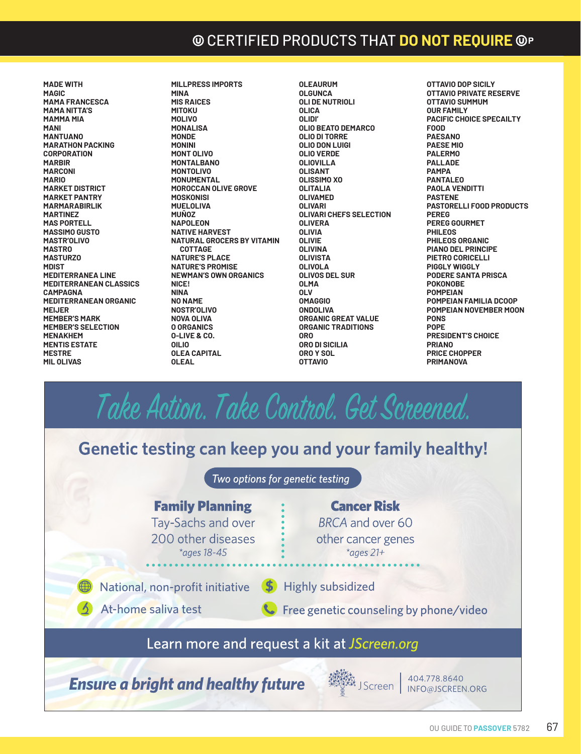**MADE WITH MAGIC MAMA FRANCESCA MAMA NITTA'S MAMMA MIA MANI MANTUANO MARATHON PACKING CORPORATION MARBIR MARCONI MARIO MARKET DISTRICT MARKET PANTRY MARMARABIRLIK MARTINEZ MAS PORTELL MASSIMO GUSTO MASTR'OLIVO MASTRO MASTURZO MDIST MEDITERRANEA LINE MEDITERRANEAN CLASSICS CAMPAGNA MEDITERRANEAN ORGANIC MEIJER MEMBER'S MARK MEMBER'S SELECTION MENAKHEM MENTIS ESTATE MESTRE MIL OLIVAS** 

**MILLPRESS IMPORTS MINA MIS RAICES MITOKU MOLIVO MONALISA MONDE MONINI MONT OLIVO MONTALBANO MONTOLIVO MONUMENTAL** MOROCCAN OLIVE GROVE **MOSKONISI MUELOLIVA MUÑOZ NAPOLEON NATIVE HARVEST** NATURAL GROCERS BY VITAMIN **COTTAGE NATURE'S PLACE NATURE'S PROMISE NEWMAN'S OWN ORGANICS** NICE! **NINA NO NAME NOSTR'OLIVO NOVA OLIVA O ORGANICS** 0-LIVE & CO. OILIO **OLEA CAPITAL OLEAL** 

**OLEAURUM OLGUNCA OLI DE NUTRIOLI OLICA** יוחו וח **OLIO BEATO DEMARCO** OLIO DI TORRE OLIO DON LUIGI **OLIO VERDE OLIOVILLA OLISANT OLISSIMO XO OLITALIA OLIVAMED OLIVARI OLIVARI CHEFS SELECTION OLIVERA OLIVIA OLIVIE OLIVINA OLIVISTA OLIVOLA OLIVOS DEL SUR OLMA OLV OMAGGIO ONDOLIVA ORGANIC GREAT VALUE ORGANIC TRADITIONS** ORO ORO DI SICILIA ORO Y SOL **OTTAVIO** 

**OTTAVIO DOP SICILY OTTAVIO PRIVATE RESERVE OTTAVIO SUMMUM OUR FAMILY PACIFIC CHOICE SPECAILTY FOOD PAESANO PAESE MIO PALERMO PALLADE PAMPA PANTALEO PAOLA VENDITTI PASTENE PASTORELLI FOOD PRODUCTS PEREG PEREG GOURMET PHILEOS** PHILEOS ORGANIC **PIANO DEL PRINCIPE PIETRO CORICELLI PIGGLY WIGGLY PODERE SANTA PRISCA POKONOBE POMPEIAN** POMPEIAN FAMILIA DCOOP POMPEIAN NOVEMBER MOON **PONS POPE** PRESIDENT'S CHOICE **PRIANO PRICE CHOPPER PRIMANOVA** 

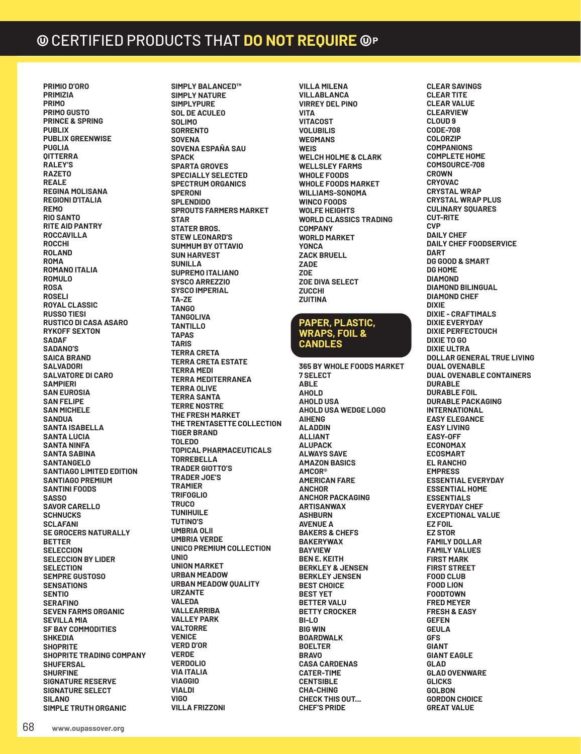**PRIMIO D'ORO PRIMIZIA PRIMO PRIMO GUSTO PRINCE & SPRING PUBLIX PUBLIX GREENWISE PUGLIA QITTERRA RALEY'S RAZETO REALE REGINA MOLISANA REGIONI D'ITALIA REMO RIO SANTO RITE AID PANTRY ROCCAVILLA ROCCHI ROLAND ROMA ROMANO ITALIA ROMULO ROSA ROSELI ROYAL CLASSIC RUSSO TIESI RUSTICO DI CASA ASARO RYKOFF SEXTON SADAF SADANO'S SAICA BRAND SALVADORI SALVATORE DI CARO SAMPIERI SAN EUROSIA SAN FELIPE SAN MICHELE SANDUA SANTA ISABELLA SANTA LUCIA SANTA NINFA SANTA SABINA SANTANGELO SANTIAGO LIMITED EDITION SANTIAGO PREMIUM SANTINI FOODS SASSO SAVOR CARELLO SCHNUCKS SCLAFANI SE GROCERS NATURALLY BETTER SELECCION SELECCION BY LIDER SELECTION SEMPRE GUSTOSO SENSATIONS SENTIO SERAFINO SEVEN FARMS ORGANIC SEVILLA MIA SF BAY COMMODITIES SHKEDIA SHOPRITE SHOPRITE TRADING COMPANY SHUFERSAL SHURFINE SIGNATURE RESERVE SIGNATURE SELECT SILANO SIMPLE TRUTH ORGANIC**

**SIMPLY BALANCED™ SIMPLY NATURE SIMPLYPURE SOL DE ACULEO SOLIMO SORRENTO SOVENA SOVENA ESPAÑA SAU SPACK SPARTA GROVES SPECIALLY SELECTED SPECTRUM ORGANICS SPERONI SPLENDIDO SPROUTS FARMERS MARKET STAR STATER BROS. STEW LEONARD'S SUMMUM BY OTTAVIO SUN HARVEST SUNILLA SUPREMO ITALIANO SYSCO ARREZZIO SYSCO IMPERIAL TA-ZE TANGO TANGOLIVA TANTILLO TAPAS TARIS TERRA CRETA TERRA CRETA ESTATE TERRA MEDI TERRA MEDITERRANEA TERRA OLIVE TERRA SANTA TERRE NOSTRE THE FRESH MARKET THE TRENTASETTE COLLECTION TIGER BRAND TOLEDO TOPICAL PHARMACEUTICALS TORREBELLA TRADER GIOTTO'S TRADER JOE'S TRAMIER TRIFOGLIO TRUCO TUNIHUILE TUTINO'S UMBRIA OLII UMBRIA VERDE UNICO PREMIUM COLLECTION UNIO UNION MARKET URBAN MEADOW URBAN MEADOW QUALITY URZANTE VALEDA VALLEARRIBA VALLEY PARK VALTORRE VENICE VERD D'OR VERDE VERDOLIO VIA ITALIA VIAGGIO VIALDI VIGO**

**VILLA FRIZZONI**

**VILLA MILENA VILLABLANCA VIRREY DEL PINO VITA VITACOST VOLUBILIS WEGMANS WEIS WELCH HOLME & CLARK WELLSLEY FARMS WHOLE FOODS WHOLE FOODS MARKET WILLIAMS-SONOMA WINCO FOODS WOLFE HEIGHTS WORLD CLASSICS TRADING COMPANY WORLD MARKET YONCA ZACK BRUELL ZADE ZOE ZOE DIVA SELECT ZUCCHI ZUITINA**

#### **PAPER, PLASTIC, WRAPS, FOIL & CANDLES**

**365 BY WHOLE FOODS MARKET 7 SELECT ABLE AHOLD AHOLD USA AHOLD USA WEDGE LOGO AIHENG ALADDIN ALLIANT ALUPACK ALWAYS SAVE AMAZON BASICS AMCOR® AMERICAN FARE ANCHOR ANCHOR PACKAGING ARTISANWAX ASHBURN AVENUE A BAKERS & CHEFS BAKERYWAX BAYVIEW BEN E. KEITH BERKLEY & JENSEN BERKLEY JENSEN BEST CHOICE BEST YET BETTER VALU BETTY CROCKER BI-LO BIG WIN BOARDWALK BOELTER BRAVO CASA CARDENAS CATER-TIME CENTSIBLE CHA-CHING CHECK THIS OUT... CHEF'S PRIDE**

**CLEAR SAVINGS CLEAR TITE CLEAR VALUE CLEARVIEW CLOUD 9 CODE-708 COLORZIP COMPANIONS COMPLETE HOME COMSOURCE-708 CROWN CRYOVAC CRYSTAL WRAP CRYSTAL WRAP PLUS CULINARY SQUARES CUT-RITE CVP DAILY CHEF DAILY CHEF FOODSERVICE DART DG GOOD & SMART DG HOME DIAMOND DIAMOND BILINGUAL DIAMOND CHEF DIXIE DIXIE - CRAFTIMALS DIXIE EVERYDAY DIXIE PERFECTOUCH DIXIE TO GO DIXIE ULTRA DOLLAR GENERAL TRUE LIVING DUAL OVENABLE DUAL OVENABLE CONTAINERS DURABLE DURABLE FOIL DURABLE PACKAGING INTERNATIONAL EASY ELEGANCE EASY LIVING EASY-OFF ECONOMAX ECOSMART EL RANCHO EMPRESS ESSENTIAL EVERYDAY ESSENTIAL HOME ESSENTIALS EVERYDAY CHEF EXCEPTIONAL VALUE EZ FOIL EZ STOR FAMILY DOLLAR FAMILY VALUES FIRST MARK FIRST STREET FOOD CLUB FOOD LION FOODTOWN FRED MEYER FRESH & EASY GEFEN GEULA GFS GIANT GIANT EAGLE GLAD GLAD OVENWARE GLICKS GOLBON GORDON CHOICE GREAT VALUE**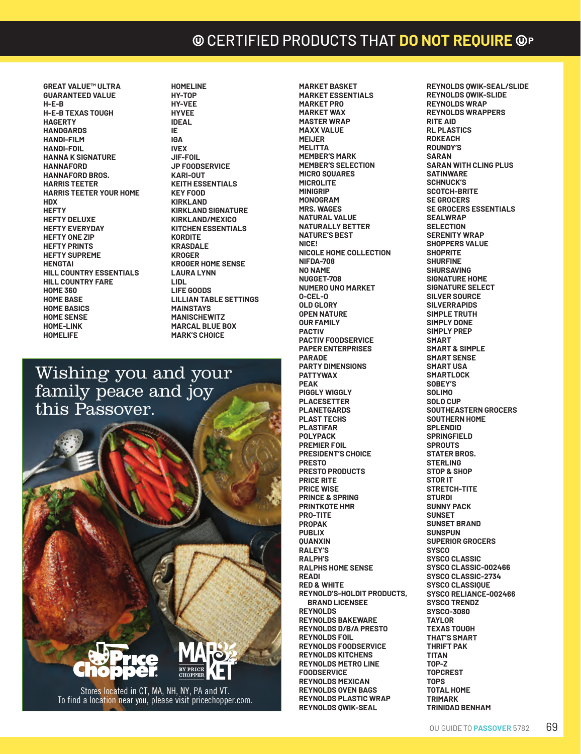**MARKET BASKET**

**GREAT VALUE™ ULTRA GUARANTEED VALUE H-E-B H-E-B TEXAS TOUGH HAGERTY HANDGARDS HANDI-FILM HANDI-FOIL HANNA K SIGNATURE HANNAFORD HANNAFORD BROS. HARRIS TEETER HARRIS TEETER YOUR HOME HDX HEFTY HEFTY DELUXE HEFTY EVERYDAY HEFTY ONE ZIP HEFTY PRINTS HEFTY SUPREME HENGTAI HILL COUNTRY ESSENTIALS HILL COUNTRY FARE HOME 360 HOME BASE HOME BASICS HOME SENSE HOME-LINK HOMELIFE**

**HOMELINE HY-TOP HY-VEE HYVEE IDEAL IE IGA IVEX JIF-FOIL JP FOODSERVICE KARI-OUT KEITH ESSENTIALS KEY FOOD KIRKLAND KIRKLAND SIGNATURE KIRKLAND/MEXICO KITCHEN ESSENTIALS KORDITE KRASDALE KROGER KROGER HOME SENSE LAURA LYNN LIDL LIFE GOODS LILLIAN TABLE SETTINGS MAINSTAYS MANISCHEWITZ MARCAL BLUE BOX MARK'S CHOICE**

Wishing you and your family peace and joy this Passover.



Stores located in CT, MA, NH, NY, PA and VT. To find a location near you, please visit pricechopper.com. **MARKET ESSENTIALS MARKET PRO MARKET WAX MASTER WRAP MAXX VALUE MEIJER MELITTA MEMBER'S MARK MEMBER'S SELECTION MICRO SQUARES MICROLITE MINIGRIP MONOGRAM MRS. WAGES NATURAL VALUE NATURALLY BETTER NATURE'S BEST NICE! NICOLE HOME COLLECTION NIFDA-708 NO NAME NUGGET-708 NUMERO UNO MARKET O-CEL-O OLD GLORY OPEN NATURE OUR FAMILY PACTIV PACTIV FOODSERVICE PAPER ENTERPRISES PARADE PARTY DIMENSIONS PATTYWAX PEAK PIGGLY WIGGLY PLACESETTER PLANETGARDS PLAST TECHS PLASTIFAR POLYPACK PREMIER FOIL PRESIDENT'S CHOICE PRESTO PRESTO PRODUCTS PRICE RITE PRICE WISE PRINCE & SPRING PRINTKOTE HMR PRO-TITE PROPAK PUBLIX QUANXIN RALEY'S RALPH'S RALPHS HOME SENSE READI RED & WHITE REYNOLD'S-HOLDIT PRODUCTS, BRAND LICENSEE REYNOLDS REYNOLDS BAKEWARE REYNOLDS D/B/A PRESTO REYNOLDS FOIL REYNOLDS FOODSERVICE REYNOLDS KITCHENS REYNOLDS METRO LINE FOODSERVICE REYNOLDS MEXICAN REYNOLDS OVEN BAGS REYNOLDS PLASTIC WRAP REYNOLDS QWIK-SEAL**

**REYNOLDS QWIK-SEAL/SLIDE REYNOLDS QWIK-SLIDE REYNOLDS WRAP REYNOLDS WRAPPERS RITE AID RL PLASTICS ROKEACH ROUNDY'S SARAN SARAN WITH CLING PLUS SATINWARE SCHNUCK'S SCOTCH-BRITE SE GROCERS SE GROCERS ESSENTIALS SEALWRAP SELECTION SERENITY WRAP SHOPPERS VALUE SHOPRITE SHURFINE SHURSAVING SIGNATURE HOME SIGNATURE SELECT SILVER SOURCE SILVERRAPIDS SIMPLE TRUTH SIMPLY DONE SIMPLY PREP SMART SMART & SIMPLE SMART SENSE SMART USA SMARTLOCK SOBEY'S SOLIMO SOLO CUP SOUTHEASTERN GROCERS SOUTHERN HOME SPLENDID SPRINGFIELD SPROUTS STATER BROS. STERLING STOP & SHOP STOR IT STRETCH-TITE STURDI SUNNY PACK SUNSET SUNSET BRAND SUNSPUN SUPERIOR GROCERS SYSCO SYSCO CLASSIC SYSCO CLASSIC-002466 SYSCO CLASSIC-2734 SYSCO CLASSIQUE SYSCO RELIANCE-002466 SYSCO TRENDZ SYSCO-3080 TAYLOR TEXAS TOUGH THAT'S SMART THRIFT PAK TITAN TOP-Z TOPCREST TOPS TOTAL HOME TRIMARK TRINIDAD BENHAM**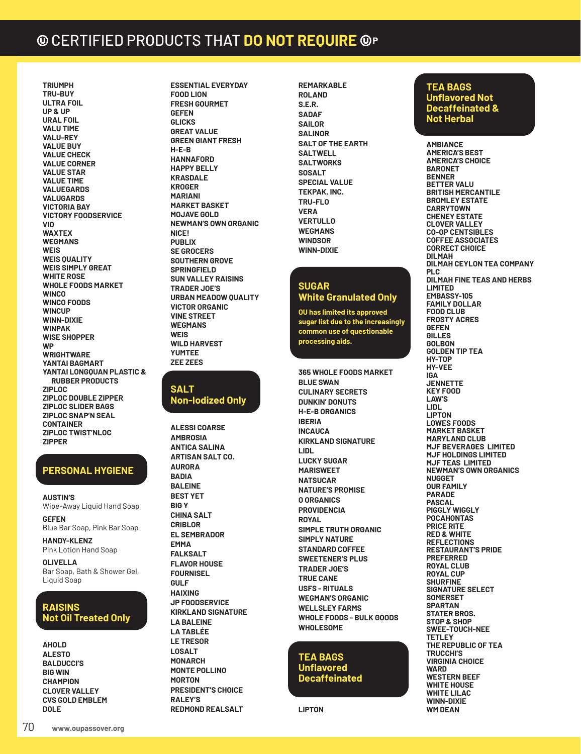**TRIUMPH TRU-BUY ULTRA FOIL UP & UP URAL FOIL VALU TIME VALU-REY VALUE BUY VALUE CHECK VALUE CORNER VALUE STAR VALUE TIME VALUEGARDS VALUGARDS VICTORIA BAY VICTORY FOODSERVICE VIO WAXTEX WEGMANS WEIS WEIS QUALITY WEIS SIMPLY GREAT WHITE ROSE WHOLE FOODS MARKET WINCO WINCO FOODS WINCUP WINN-DIXIE WINPAK WISE SHOPPER WP WRIGHTWARE YANTAI BAGMART YANTAI LONGQUAN PLASTIC & RUBBER PRODUCTS ZIPLOC ZIPLOC DOUBLE ZIPPER ZIPLOC SLIDER BAGS ZIPLOC SNAP'N SEAL CONTAINER ZIPLOC TWIST'NLOC ZIPPER**

#### **PERSONAL HYGIENE**

#### **AUSTIN'S** Wipe-Away Liquid Hand Soap **GEFEN**

Blue Bar Soap, Pink Bar Soap

**HANDY-KLENZ** Pink Lotion Hand Soap

**OLIVELLA** Bar Soap, Bath & Shower Gel, Liquid Soap

#### **RAISINS Not Oil Treated Only**

**AHOLD ALESTO BALDUCCI'S BIG WIN CHAMPION CLOVER VALLEY CVS GOLD EMBLEM DOLE**

**ESSENTIAL EVERYDAY FOOD LION FRESH GOURMET GEFEN GLICKS GREAT VALUE GREEN GIANT FRESH H-E-B HANNAFORD HAPPY BELLY KRASDALE KROGER MARIANI MARKET BASKET MOJAVE GOLD NEWMAN'S OWN ORGANIC NICE! PUBLIX SE GROCERS SOUTHERN GROVE SPRINGFIELD SUN VALLEY RAISINS TRADER JOE'S URBAN MEADOW QUALITY VICTOR ORGANIC VINE STREET WEGMANS WEIS WILD HARVEST YUMTEE**

#### **SALT Non-Iodized Only**

**ZEE ZEES**

**ALESSI COARSE AMBROSIA ANTICA SALINA ARTISAN SALT CO. AURORA BADIA BALEINE BEST YET BIG Y CHINA SALT CRIBLOR EL SEMBRADOR EMMA FALKSALT FLAVOR HOUSE FOURNISEL GULF HAIXING JP FOODSERVICE KIRKLAND SIGNATURE LA BALEINE LA TABLÉE LE TRESOR LOSALT MONARCH MONTE POLLINO MORTON PRESIDENT'S CHOICE RALEY'S REDMOND REALSALT**

**REMARKABLE ROLAND S.E.R. SADAF SAILOR SALINOR SALT OF THE EARTH SALTWELL SALTWORKS SOSALT SPECIAL VALUE TEKPAK, INC. TRU-FLO VERA VERTULLO WEGMANS WINDSOR WINN-DIXIE**

#### **SUGAR White Granulated Only**

**OU has limited its approved sugar list due to the increasingly common use of questionable processing aids.**

**365 WHOLE FOODS MARKET BLUE SWAN CULINARY SECRETS DUNKIN' DONUTS H-E-B ORGANICS IBERIA INCAUCA KIRKLAND SIGNATURE LIDL LUCKY SUGAR MARISWEET NATSUCAR NATURE'S PROMISE O ORGANICS PROVIDENCIA ROYAL SIMPLE TRUTH ORGANIC SIMPLY NATURE STANDARD COFFEE SWEETENER'S PLUS TRADER JOE'S TRUE CANE USFS - RITUALS WEGMAN'S ORGANIC WELLSLEY FARMS WHOLE FOODS - BULK GOODS WHOLESOME**

#### **TEA BAGS Unflavored Decaffeinated**

**LIPTON**

#### **TEA BAGS Unflavored Not Decaffeinated & Not Herbal**

**AMBIANCE AMERICA'S BEST AMERICA'S CHOICE BARONET BENNER BETTER VALU BRITISH MERCANTILE BROMLEY ESTATE CARRYTOWN CHENEY ESTATE CLOVER VALLEY CO-OP CENTSIBLES COFFEE ASSOCIATES CORRECT CHOICE DILMAH DILMAH CEYLON TEA COMPANY PLC DILMAH FINE TEAS AND HERBS LIMITED EMBASSY-105 FAMILY DOLLAR FOOD CLUB FROSTY ACRES GEFEN GILLES GOLBON GOLDEN TIP TEA HY-TOP HY-VEE IGA JENNETTE KEY FOOD LAW'S LIDL LIPTON LOWES FOODS MARKET BASKET MARYLAND CLUB MJF BEVERAGES LIMITED MJF HOLDINGS LIMITED MJF TEAS LIMITED NEWMAN'S OWN ORGANICS NUGGET OUR FAMILY PARADE PASCAL PIGGLY WIGGLY POCAHONTAS PRICE RITE RED & WHITE REFLECTIONS RESTAURANT'S PRIDE PREFERRED ROYAL CLUB ROYAL CUP SHURFINE SIGNATURE SELECT SOMERSET SPARTAN STATER BROS. STOP & SHOP SWEE-TOUCH-NEE TETLEY THE REPUBLIC OF TEA TRUCCHI'S VIRGINIA CHOICE WARD WESTERN BEEF WHITE HOUSE WHITE LILAC WINN-DIXIE WM DEAN**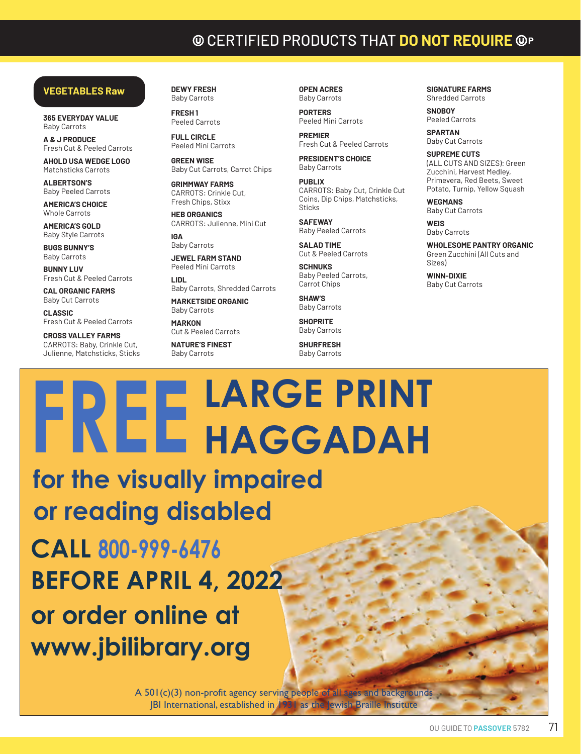#### **VEGETABLES Raw**

**365 EVERYDAY VALUE** Baby Carrots

**A & J PRODUCE** Fresh Cut & Peeled Carrots

**AHOLD USA WEDGE LOGO** Matchsticks Carrots

**ALBERTSON'S** Baby Peeled Carrots

**AMERICA'S CHOICE** Whole Carrots

**AMERICA'S GOLD** Baby Style Carrots

**BUGS BUNNY'S** Baby Carrots

**BUNNY LUV** Fresh Cut & Peeled Carrots

**CAL ORGANIC FARMS** Baby Cut Carrots

**CLASSIC** Fresh Cut & Peeled Carrots

**CROSS VALLEY FARMS** CARROTS: Baby, Crinkle Cut, Julienne, Matchsticks, Sticks **DEWY FRESH** Baby Carrots

**FRESH 1** Peeled Carrots

**FULL CIRCLE** Peeled Mini Carrots

**GREEN WISE** Baby Cut Carrots, Carrot Chips

**GRIMMWAY FARMS** CARROTS: Crinkle Cut, Fresh Chips, Stixx

**HEB ORGANICS** CARROTS: Julienne, Mini Cut

**IGA** Baby Carrots

**JEWEL FARM STAND** Peeled Mini Carrots

**LIDL** Baby Carrots, Shredded Carrots

**MARKETSIDE ORGANIC** Baby Carrots

**MARKON** Cut & Peeled Carrots

**NATURE'S FINEST** Baby Carrots

**OPEN ACRES** Baby Carrots

**PORTERS** Peeled Mini Carrots

**PREMIER** Fresh Cut & Peeled Carrots

**PRESIDENT'S CHOICE** Baby Carrots

**PUBLIX** CARROTS: Baby Cut, Crinkle Cut Coins, Dip Chips, Matchsticks, Sticks

**SAFEWAY** Baby Peeled Carrots

**SALAD TIME** Cut & Peeled Carrots

**SCHNUKS** Baby Peeled Carrots,

Carrot Chips **SHAW'S** Baby Carrots

**SHOPRITE** Baby Carrots

**SHURFRESH** Baby Carrots **SIGNATURE FARMS** Shredded Carrots

**SNOBOY** Peeled Carrots

**SPARTAN** Baby Cut Carrots

**SUPREME CUTS** (ALL CUTS AND SIZES): Green Zucchini, Harvest Medley, Primevera, Red Beets, Sweet Potato, Turnip, Yellow Squash

**WEGMANS** Baby Cut Carrots

**WEIS** Baby Carrots

**WHOLESOME PANTRY ORGANIC** Green Zucchini (All Cuts and Sizes)

**WINN-DIXIE** Baby Cut Carrots

# **FREE LARGE PRINT HAGGADAH for the visually impaired or reading disabled CALL 800-999-6476 BEFORE APRIL 4, 2022 or order online at www.jbilibrary.org**

A 501(c)(3) non-profit agency serving people of all ages and backgrounds JBI International, established in 1931 as the Jewish Braille Institute